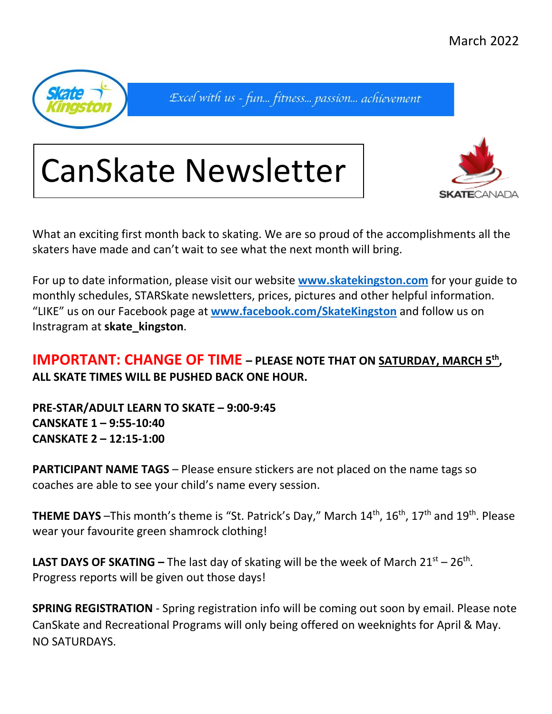March 2022



Excel with us - fun... fitness... passion... achievement

## CanSkate Newsletter



What an exciting first month back to skating. We are so proud of the accomplishments all the skaters have made and can't wait to see what the next month will bring.

For up to date information, please visit our website **[www.skatekingston.com](http://www.skatekingston.com/)** for your guide to monthly schedules, STARSkate newsletters, prices, pictures and other helpful information. "LIKE" us on our Facebook page at **[www.facebook.com/SkateKingston](http://www.facebook.com/SkateKingston)** and follow us on Instragram at **skate\_kingston**.

## **IMPORTANT: CHANGE OF TIME – PLEASE NOTE THAT ON SATURDAY, MARCH 5<sup>th</sup>, ALL SKATE TIMES WILL BE PUSHED BACK ONE HOUR.**

**PRE-STAR/ADULT LEARN TO SKATE – 9:00-9:45 CANSKATE 1 – 9:55-10:40 CANSKATE 2 – 12:15-1:00**

**PARTICIPANT NAME TAGS** – Please ensure stickers are not placed on the name tags so coaches are able to see your child's name every session.

**THEME DAYS** -This month's theme is "St. Patrick's Day," March 14<sup>th</sup>, 16<sup>th</sup>, 17<sup>th</sup> and 19<sup>th</sup>. Please wear your favourite green shamrock clothing!

**LAST DAYS OF SKATING** – The last day of skating will be the week of March  $21^{st}$  –  $26^{th}$ . Progress reports will be given out those days!

**SPRING REGISTRATION** - Spring registration info will be coming out soon by email. Please note CanSkate and Recreational Programs will only being offered on weeknights for April & May. NO SATURDAYS.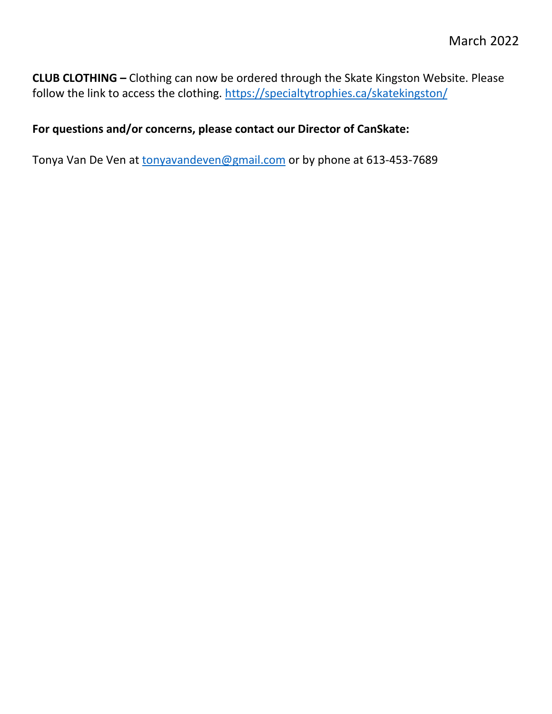**CLUB CLOTHING –** Clothing can now be ordered through the Skate Kingston Website. Please follow the link to access the clothing.<https://specialtytrophies.ca/skatekingston/>

## **For questions and/or concerns, please contact our Director of CanSkate:**

Tonya Van De Ven at [tonyavandeven@gmail.com](mailto:tonyavandeven@gmail.com) or by phone at 613-453-7689